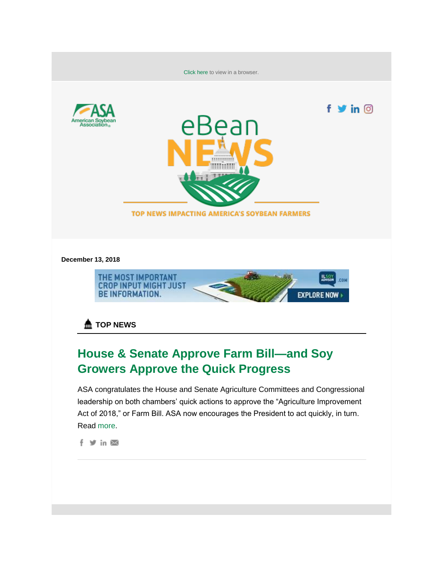

**December 13, 2018**



**A** TOP NEWS

# **House & Senate Approve Farm Bill—and Soy Growers Approve the Quick Progress**

ASA congratulates the House and Senate Agriculture Committees and Congressional leadership on both chambers' quick actions to approve the "Agriculture Improvement Act of 2018," or Farm Bill. ASA now encourages the President to act quickly, in turn. Read [more.](http://asa.informz.net/z/cjUucD9taT04MTc2ODM0JnA9MSZ1PTEwNTY2NTczNTYmbGk9NjEyNzc0Mjg/index.html)

f y in ⊠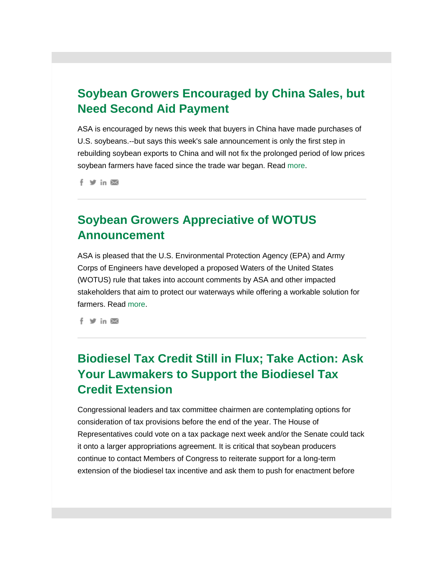## **Soybean Growers Encouraged by China Sales, but Need Second Aid Payment**

ASA is encouraged by news this week that buyers in China have made purchases of U.S. soybeans.--but says this week's sale announcement is only the first step in rebuilding soybean exports to China and will not fix the prolonged period of low prices soybean farmers have faced since the trade war began. Read [more.](http://asa.informz.net/z/cjUucD9taT04MTc2ODM0JnA9MSZ1PTEwNTY2NTczNTYmbGk9NjEyNzc0MzM/index.html)

 $f \times in \boxtimes$ 

## **Soybean Growers Appreciative of WOTUS Announcement**

ASA is pleased that the U.S. Environmental Protection Agency (EPA) and Army Corps of Engineers have developed a proposed Waters of the United States (WOTUS) rule that takes into account comments by ASA and other impacted stakeholders that aim to protect our waterways while offering a workable solution for farmers. Read [more.](http://asa.informz.net/z/cjUucD9taT04MTc2ODM0JnA9MSZ1PTEwNTY2NTczNTYmbGk9NjEyNzc0MzQ/index.html)

 $f \circ f$  in  $\boxtimes$ 

## **Biodiesel Tax Credit Still in Flux; Take Action: Ask Your Lawmakers to Support the Biodiesel Tax Credit Extension**

Congressional leaders and tax committee chairmen are contemplating options for consideration of tax provisions before the end of the year. The House of Representatives could vote on a tax package next week and/or the Senate could tack it onto a larger appropriations agreement. It is critical that soybean producers continue to contact Members of Congress to reiterate support for a long-term extension of the biodiesel tax incentive and ask them to push for enactment before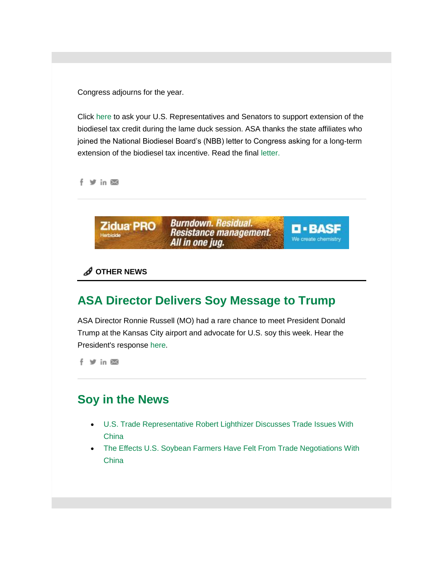Congress adjourns for the year.

Click [here](http://asa.informz.net/z/cjUucD9taT04MTc2ODM0JnA9MSZ1PTEwNTY2NTczNTYmbGk9NjEyNzc0MzU/index.html) to ask your U.S. Representatives and Senators to support extension of the biodiesel tax credit during the lame duck session. ASA thanks the state affiliates who joined the National Biodiesel Board's (NBB) letter to Congress asking for a long-term extension of the biodiesel tax incentive. Read the final [letter.](http://asa.informz.net/z/cjUucD9taT04MTc2ODM0JnA9MSZ1PTEwNTY2NTczNTYmbGk9NjEyNzc0MzY/index.html)

f y in ⊠



#### **OTHER NEWS**

## **ASA Director Delivers Soy Message to Trump**

ASA Director Ronnie Russell (MO) had a rare chance to meet President Donald Trump at the Kansas City airport and advocate for U.S. soy this week. Hear the President's response [here.](http://asa.informz.net/z/cjUucD9taT04MTc2ODM0JnA9MSZ1PTEwNTY2NTczNTYmbGk9NjEyNzc0Mzk/index.html)

f y in ⊠

### **Soy in the News**

- [U.S. Trade Representative Robert Lighthizer Discusses Trade Issues With](http://asa.informz.net/z/cjUucD9taT04MTc2ODM0JnA9MSZ1PTEwNTY2NTczNTYmbGk9NjEyNzc0NDA/index.html)  **China**
- The Effects U.S. Soybean Farmers Have Felt From Trade Negotiations With **China**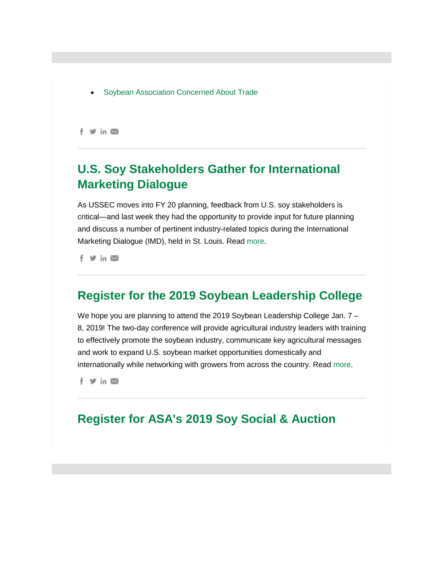[Soybean Association Concerned About Trade](http://asa.informz.net/z/cjUucD9taT04MTc2ODM0JnA9MSZ1PTEwNTY2NTczNTYmbGk9NjEyNzc0NDI/index.html) 

 $f \times in \times$ 

## **U.S. Soy Stakeholders Gather for International Marketing Dialogue**

As USSEC moves into FY 20 planning, feedback from U.S. soy stakeholders is critical—and last week they had the opportunity to provide input for future planning and discuss a number of pertinent industry-related topics during the International Marketing Dialogue (IMD), held in St. Louis. Read [more.](http://asa.informz.net/z/cjUucD9taT04MTc2ODM0JnA9MSZ1PTEwNTY2NTczNTYmbGk9NjEyNzc0NDM/index.html)

f Vin

### **Register for the 2019 Soybean Leadership College**

We hope you are planning to attend the 2019 Soybean Leadership College Jan. 7 -8, 2019! The two-day conference will provide agricultural industry leaders with training to effectively promote the soybean industry, communicate key agricultural messages and work to expand U.S. soybean market opportunities domestically and internationally while networking with growers from across the country. Read [more.](http://asa.informz.net/z/cjUucD9taT04MTc2ODM0JnA9MSZ1PTEwNTY2NTczNTYmbGk9NjEyNzc0NDQ/index.html)

f y in ⊠

### **Register for ASA's 2019 Soy Social & Auction**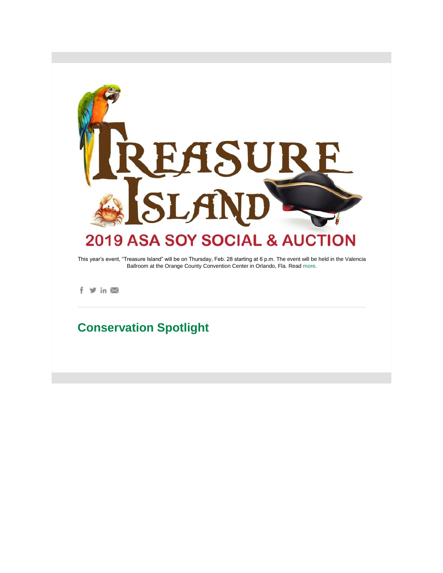

This year's event, "Treasure Island" will be on Thursday, Feb. 28 starting at 6 p.m. The event will be held in the Valencia Ballroom at the Orange County Convention Center in Orlando, Fla. Read [more.](http://asa.informz.net/z/cjUucD9taT04MTc2ODM0JnA9MSZ1PTEwNTY2NTczNTYmbGk9NjEyNzc0NDU/index.html)

f y in ⊠

## **Conservation Spotlight**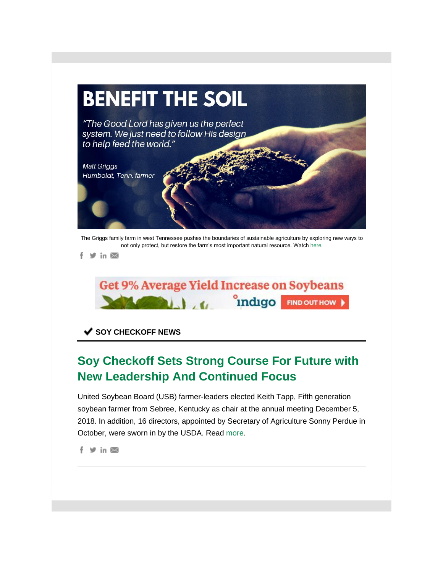

The Griggs family farm in west Tennessee pushes the boundaries of sustainable agriculture by exploring new ways to not only protect, but restore the farm's most important natural resource. Watch [here.](http://asa.informz.net/z/cjUucD9taT04MTc2ODM0JnA9MSZ1PTEwNTY2NTczNTYmbGk9NjEyNzc0NDY/index.html)

f > in ⊠



**SOY CHECKOFF NEWS**

## **Soy Checkoff Sets Strong Course For Future with New Leadership And Continued Focus**

United Soybean Board (USB) farmer-leaders elected Keith Tapp, Fifth generation soybean farmer from Sebree, Kentucky as chair at the annual meeting December 5, 2018. In addition, 16 directors, appointed by Secretary of Agriculture Sonny Perdue in October, were sworn in by the USDA. Read [more.](http://asa.informz.net/z/cjUucD9taT04MTc2ODM0JnA9MSZ1PTEwNTY2NTczNTYmbGk9NjEyNzc0NDc/index.html)

f > in ⊠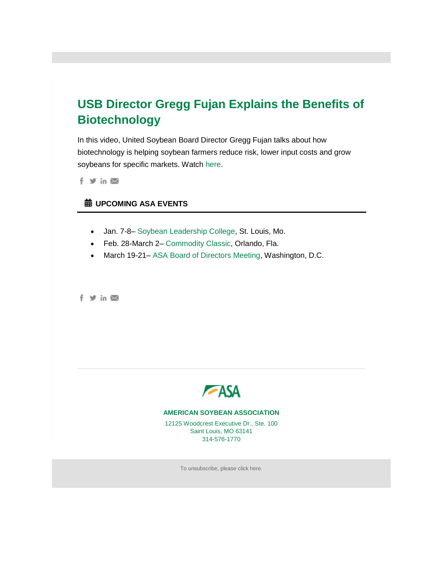## **USB Director Gregg Fujan Explains the Benefits of Biotechnology**

In this video, United Soybean Board Director Gregg Fujan talks about how biotechnology is helping soybean farmers reduce risk, lower input costs and grow soybeans for specific markets. Watch [here.](http://asa.informz.net/z/cjUucD9taT04MTc2ODM0JnA9MSZ1PTEwNTY2NTczNTYmbGk9NjEyNzc0NDg/index.html)

 $f \circ f$  in  $\boxtimes$ 

#### **UPCOMING ASA EVENTS**

- Jan. 7-8– [Soybean Leadership College,](http://asa.informz.net/z/cjUucD9taT04MTc2ODM0JnA9MSZ1PTEwNTY2NTczNTYmbGk9NjEyNzc0NDk/index.html) St. Louis, Mo.
- Feb. 28-March 2– [Commodity Classic,](http://asa.informz.net/z/cjUucD9taT04MTc2ODM0JnA9MSZ1PTEwNTY2NTczNTYmbGk9NjEyNzc0NTA/index.html) Orlando, Fla.
- March 19-21– [ASA Board of Directors Meeting,](http://asa.informz.net/z/cjUucD9taT04MTc2ODM0JnA9MSZ1PTEwNTY2NTczNTYmbGk9NjEyNzc0NTE/index.html) Washington, D.C.

f y in ⊠



#### **AMERICAN SOYBEAN ASSOCIATION**

12125 Woodcrest Executive Dr., Ste. 100 Saint Louis, MO 63141 314-576-1770

To unsubscribe, please [click here.](http://asa.informz.net/z/cjUucD9taT04MTc2ODM0JnU9MTA1NjY1NzM1NiZsaT02MTI3NzQ1MiZsPWh0dHA6Ly9hc2EuaW5mb3Jtei5uZXQvYXNhL3BhZ2VzL2RlZmF1bHRfdW5zdWJzY3JpYmU_X3pzPUdPZExiMXxfem1pPXNmc2g/index.html)